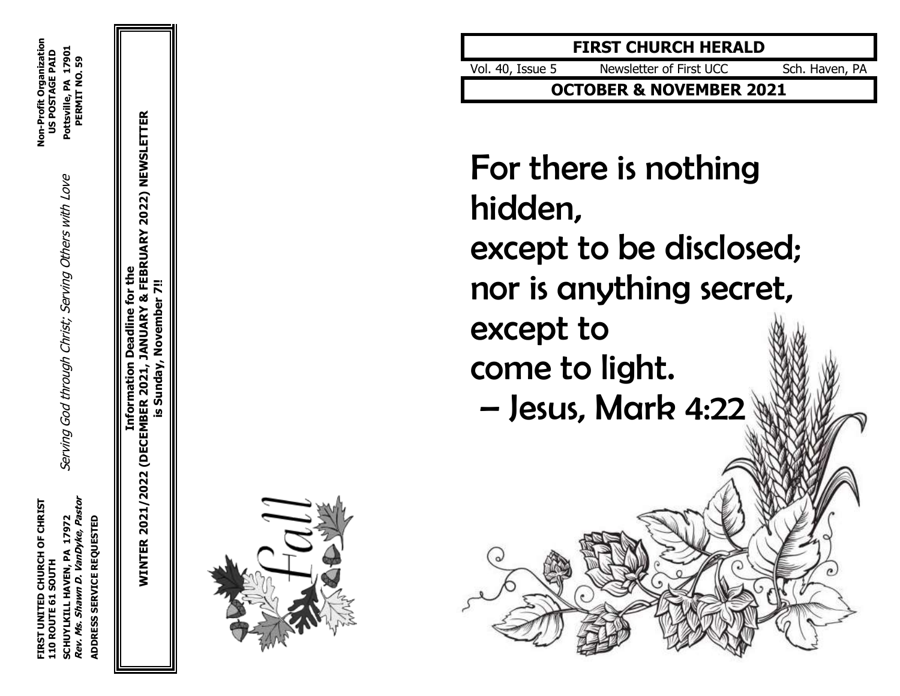**WINTER 2021/2022 (DECEMBER 2021, JANUARY & FEBRUARY 2022) NEWSLETTER** FEBRUARY 2022) NEWSLETTER **Information Deadline for the** November 7!! **is Sunday, November 7!!**Sunday, 2021 (DECEMBER <u>ທ</u> **NINTER 2021/2022** 



## **FIRST CHURCH HERALD**

Vol . 40, Issue Newsletter of First UCC Sch. Haven, PA

**OCTOBER & NOVEMBER 2021**

For there is nothing hidden, except to be disclosed; nor is anything secret, except to come to light. – Jesus, Mark 4:22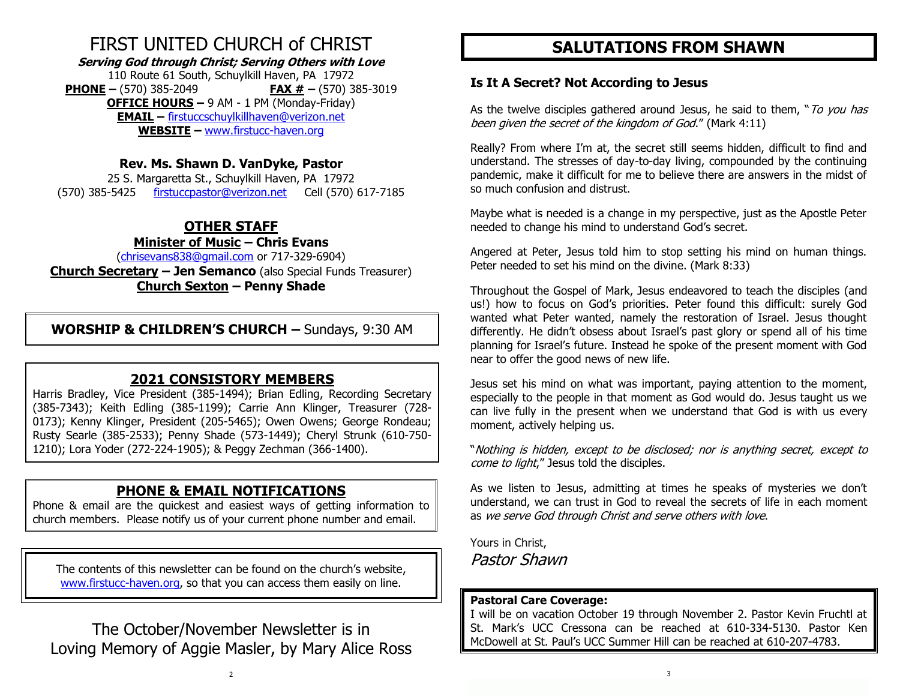## FIRST UNITED CHURCH of CHRIST

**Serving God through Christ; Serving Others with Love**

110 Route 61 South, Schuylkill Haven, PA 17972 **PHONE –** (570) 385-2049 **FAX # –** (570) 385-3019 **OFFICE HOURS –** 9 AM - 1 PM (Monday-Friday) **EMAIL –** [firstuccschuylkillhaven@verizon.net](mailto:firstuccschuylkillhaven@verizon.net) **WEBSITE –** [www.firstucc-haven.org](http://www.firstucc-haven.org/)

#### **Rev. Ms. Shawn D. VanDyke, Pastor**

25 S. Margaretta St., Schuylkill Haven, PA 17972 (570) 385-5425 [firstuccpastor@verizon.net](mailto:firstuccpastor@verizon.net) Cell (570) 617-7185

## **OTHER STAFF**

#### **Minister of Music – Chris Evans**

[\(chrisevans838@gmail.com](mailto:chrisevans838@gmail.com) or 717-329-6904) **Church Secretary – Jen Semanco** (also Special Funds Treasurer) **Church Sexton – Penny Shade**

**WORSHIP & CHILDREN'S CHURCH –** Sundays, 9:30 AM

## **2021 CONSISTORY MEMBERS**

Harris Bradley, Vice President (385-1494); Brian Edling, Recording Secretary (385-7343); Keith Edling (385-1199); Carrie Ann Klinger, Treasurer (728- 0173); Kenny Klinger, President (205-5465); Owen Owens; George Rondeau; Rusty Searle (385-2533); Penny Shade (573-1449); Cheryl Strunk (610-750- 1210); Lora Yoder (272-224-1905); & Peggy Zechman (366-1400).

### **PHONE & EMAIL NOTIFICATIONS**

Phone & email are the quickest and easiest ways of getting information to church members. Please notify us of your current phone number and email.

The contents of this newsletter can be found on the church's website, [www.firstucc-haven.org,](http://www.firstucc-haven.org/) so that you can access them easily on line.

The October/November Newsletter is in Loving Memory of Aggie Masler, by Mary Alice Ross

## **SALUTATIONS FROM SHAWN**

#### **Is It A Secret? Not According to Jesus**

As the twelve disciples gathered around Jesus, he said to them, "To you has been given the secret of the kingdom of God." (Mark 4:11)

Really? From where I'm at, the secret still seems hidden, difficult to find and understand. The stresses of day-to-day living, compounded by the continuing pandemic, make it difficult for me to believe there are answers in the midst of so much confusion and distrust.

Maybe what is needed is a change in my perspective, just as the Apostle Peter needed to change his mind to understand God's secret.

Angered at Peter, Jesus told him to stop setting his mind on human things. Peter needed to set his mind on the divine. (Mark 8:33)

Throughout the Gospel of Mark, Jesus endeavored to teach the disciples (and us!) how to focus on God's priorities. Peter found this difficult: surely God wanted what Peter wanted, namely the restoration of Israel. Jesus thought differently. He didn't obsess about Israel's past glory or spend all of his time planning for Israel's future. Instead he spoke of the present moment with God near to offer the good news of new life.

Jesus set his mind on what was important, paying attention to the moment, especially to the people in that moment as God would do. Jesus taught us we can live fully in the present when we understand that God is with us every moment, actively helping us.

"Nothing is hidden, except to be disclosed; nor is anything secret, except to come to light," Jesus told the disciples.

As we listen to Jesus, admitting at times he speaks of mysteries we don't understand, we can trust in God to reveal the secrets of life in each moment as we serve God through Christ and serve others with love.

Yours in Christ, Pastor Shawn

#### **Pastoral Care Coverage:**

I will be on vacation October 19 through November 2. Pastor Kevin Fruchtl at St. Mark's UCC Cressona can be reached at 610-334-5130. Pastor Ken McDowell at St. Paul's UCC Summer Hill can be reached at 610-207-4783.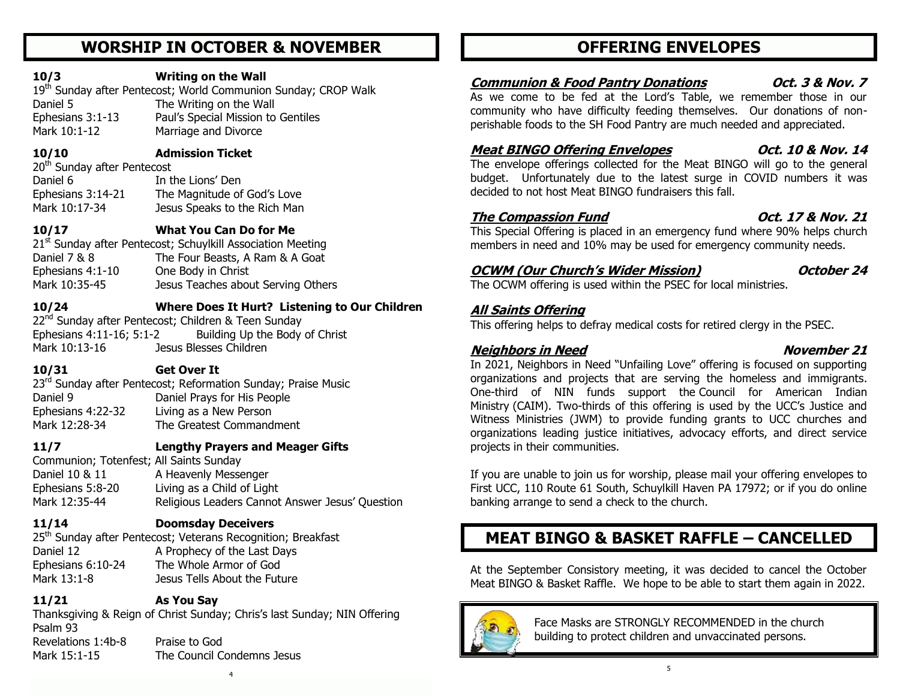## **WORSHIP IN OCTOBER & NOVEMBER**

#### **10/3 Writing on the Wall**

19<sup>th</sup> Sunday after Pentecost; World Communion Sunday; CROP Walk Daniel 5 The Writing on the Wall Ephesians 3:1-13 Paul's Special Mission to Gentiles Mark 10:1-12 Marriage and Divorce

**10/10 Admission Ticket**

20<sup>th</sup> Sunday after Pentecost Daniel 6 **In the Lions' Den** Ephesians 3:14-21 The Magnitude of God's Love Mark 10:17-34 Jesus Speaks to the Rich Man

## **10/17 What You Can Do for Me**

21<sup>st</sup> Sunday after Pentecost; Schuylkill Association Meeting Daniel 7 & 8 The Four Beasts, A Ram & A Goat Ephesians 4:1-10 One Body in Christ Mark 10:35-45 Jesus Teaches about Serving Others

#### **10/24 Where Does It Hurt? Listening to Our Children**

22<sup>nd</sup> Sunday after Pentecost; Children & Teen Sunday Ephesians 4:11-16; 5:1-2 Building Up the Body of Christ Mark 10:13-16 Jesus Blesses Children

### **10/31 Get Over It**

23<sup>rd</sup> Sunday after Pentecost; Reformation Sunday; Praise Music Daniel 9 Daniel Prays for His People Ephesians 4:22-32 Living as a New Person Mark 12:28-34 The Greatest Commandment

## **11/7 Lengthy Prayers and Meager Gifts**

Communion; Totenfest; All Saints Sunday Daniel 10 & 11 A Heavenly Messenger Ephesians 5:8-20 Living as a Child of Light Mark 12:35-44 Religious Leaders Cannot Answer Jesus' Question

## **11/14 Doomsday Deceivers**

25<sup>th</sup> Sunday after Pentecost; Veterans Recognition; Breakfast Daniel 12 A Prophecy of the Last Days Ephesians 6:10-24 The Whole Armor of God Mark 13:1-8 Jesus Tells About the Future

## **11/21 As You Say**

Thanksgiving & Reign of Christ Sunday; Chris's last Sunday; NIN Offering Psalm 93 Revelations 1:4b-8 Praise to God Mark 15:1-15 The Council Condemns Jesus

## **OFFERING ENVELOPES**

## **Communion & Food Pantry Donations Oct. 3 & Nov. 7**

As we come to be fed at the Lord's Table, we remember those in our community who have difficulty feeding themselves. Our donations of nonperishable foods to the SH Food Pantry are much needed and appreciated.

## Meat BINGO Offering Envelopes 0ct. 10 & Nov. 14

The envelope offerings collected for the Meat BINGO will go to the general budget. Unfortunately due to the latest surge in COVID numbers it was decided to not host Meat BINGO fundraisers this fall.

## **The Compassion Fund Oct. 17 & Nov. 21**

This Special Offering is placed in an emergency fund where 90% helps church members in need and 10% may be used for emergency community needs.

## **OCWM (Our Church's Wider Mission) October 24**

The OCWM offering is used within the PSEC for local ministries.

### **All Saints Offering**

This offering helps to defray medical costs for retired clergy in the PSEC.

## **Neighbors in Need November 21**

In 2021, Neighbors in Need "Unfailing Love" offering is focused on supporting organizations and projects that are serving the homeless and immigrants. One-third of NIN funds support the [Council for American Indian](http://www.ucc.org/faq_what_is_caim)  [Ministry](http://www.ucc.org/faq_what_is_caim) (CAIM). Two-thirds of this offering is used by the UCC's Justice and Witness Ministries (JWM) to provide funding grants to UCC churches and organizations leading justice initiatives, advocacy efforts, and direct service projects in their communities.

If you are unable to join us for worship, please mail your offering envelopes to First UCC, 110 Route 61 South, Schuylkill Haven PA 17972; or if you do online banking arrange to send a check to the church.

## **MEAT BINGO & BASKET RAFFLE – CANCELLED**

At the September Consistory meeting, it was decided to cancel the October Meat BINGO & Basket Raffle. We hope to be able to start them again in 2022.



 Face Masks are STRONGLY RECOMMENDED in the church building to protect children and unvaccinated persons.

4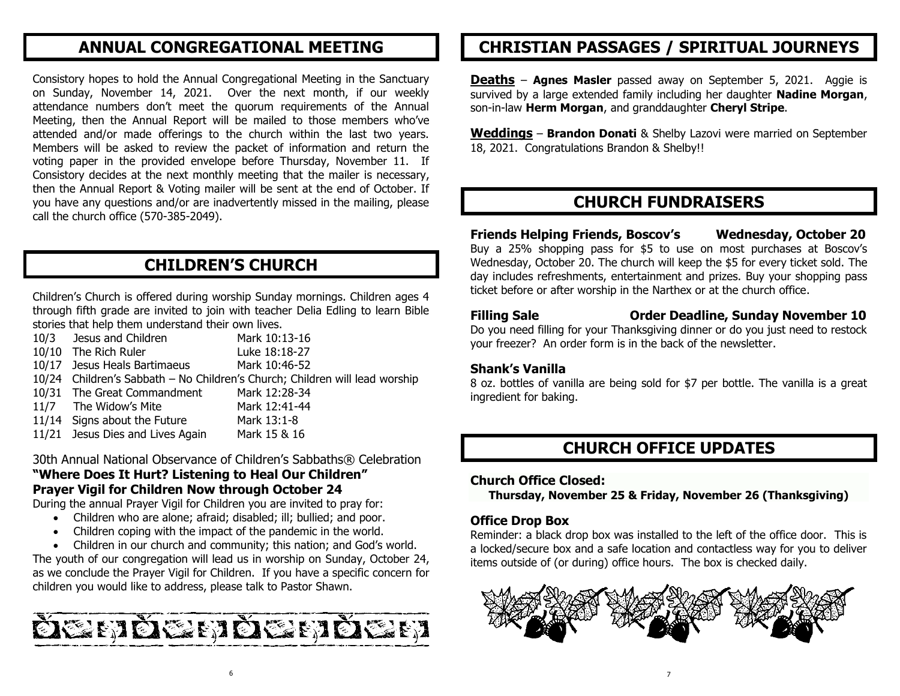## **ANNUAL CONGREGATIONAL MEETING**

Consistory hopes to hold the Annual Congregational Meeting in the Sanctuary on Sunday, November 14, 2021. Over the next month, if our weekly attendance numbers don't meet the quorum requirements of the Annual Meeting, then the Annual Report will be mailed to those members who've attended and/or made offerings to the church within the last two years. Members will be asked to review the packet of information and return the voting paper in the provided envelope before Thursday, November 11. If Consistory decides at the next monthly meeting that the mailer is necessary, then the Annual Report & Voting mailer will be sent at the end of October. If you have any questions and/or are inadvertently missed in the mailing, please call the church office (570-385-2049).

## **CHILDREN'S CHURCH**

Children's Church is offered during worship Sunday mornings. Children ages 4 through fifth grade are invited to join with teacher Delia Edling to learn Bible stories that help them understand their own lives.

10/3 Jesus and Children Mark 10:13-16 10/10 The Rich Ruler Luke 18:18-27 10/17 Jesus Heals Bartimaeus Mark 10:46-52 10/24 Children's Sabbath – No Children's Church; Children will lead worship 10/31 The Great Commandment Mark 12:28-34 11/7 The Widow's Mite Mark 12:41-44 11/14 Signs about the Future Mark 13:1-8 11/21 Jesus Dies and Lives Again Mark 15 & 16

30th Annual National Observance of Children's Sabbaths® Celebration **"Where Does It Hurt? Listening to Heal Our Children" Prayer Vigil for Children Now through October 24**

During the annual Prayer Vigil for Children you are invited to pray for:

- Children who are alone; afraid; disabled; ill; bullied; and poor.
	- Children coping with the impact of the pandemic in the world.
	- Children in our church and community; this nation; and God's world.

The youth of our congregation will lead us in worship on Sunday, October 24, as we conclude the Prayer Vigil for Children. If you have a specific concern for children you would like to address, please talk to Pastor Shawn.



## **CHRISTIAN PASSAGES / SPIRITUAL JOURNEYS**

**Deaths** – **Agnes Masler** passed away on September 5, 2021. Aggie is survived by a large extended family including her daughter **Nadine Morgan**, son-in-law **Herm Morgan**, and granddaughter **Cheryl Stripe**.

**Weddings** – **Brandon Donati** & Shelby Lazovi were married on September 18, 2021. Congratulations Brandon & Shelby!!

## **CHURCH FUNDRAISERS**

## **Friends Helping Friends, Boscov's Wednesday, October 20**

Buy a 25% shopping pass for \$5 to use on most purchases at Boscov's Wednesday, October 20. The church will keep the \$5 for every ticket sold. The day includes refreshments, entertainment and prizes. Buy your shopping pass ticket before or after worship in the Narthex or at the church office.

**Filling Sale Order Deadline, Sunday November 10**

Do you need filling for your Thanksgiving dinner or do you just need to restock your freezer? An order form is in the back of the newsletter.

#### **Shank's Vanilla**

8 oz. bottles of vanilla are being sold for \$7 per bottle. The vanilla is a great ingredient for baking.

## **CHURCH OFFICE UPDATES**

#### **Church Office Closed:**

**Thursday, November 25 & Friday, November 26 (Thanksgiving)**

#### **Office Drop Box**

Reminder: a black drop box was installed to the left of the office door. This is a locked/secure box and a safe location and contactless way for you to deliver items outside of (or during) office hours. The box is checked daily.

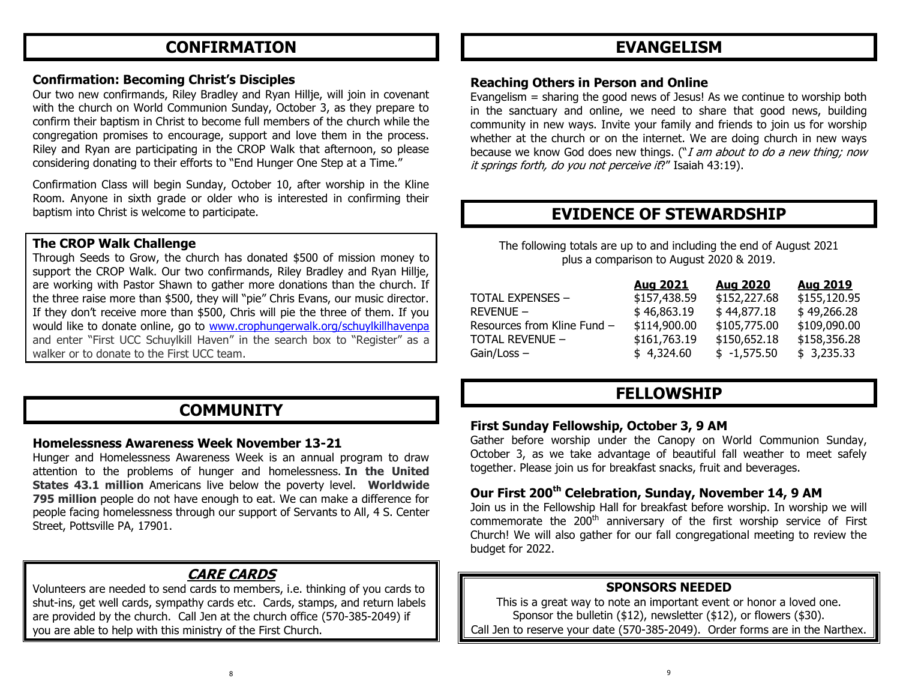## **CONFIRMATION**

#### **Confirmation: Becoming Christ's Disciples**

Our two new confirmands, Riley Bradley and Ryan Hillje, will join in covenant with the church on World Communion Sunday, October 3, as they prepare to confirm their baptism in Christ to become full members of the church while the congregation promises to encourage, support and love them in the process. Riley and Ryan are participating in the CROP Walk that afternoon, so please considering donating to their efforts to "End Hunger One Step at a Time."

Confirmation Class will begin Sunday, October 10, after worship in the Kline Room. Anyone in sixth grade or older who is interested in confirming their baptism into Christ is welcome to participate.

#### **The CROP Walk Challenge**

Through Seeds to Grow, the church has donated \$500 of mission money to support the CROP Walk. Our two confirmands, Riley Bradley and Ryan Hillje, are working with Pastor Shawn to gather more donations than the church. If the three raise more than \$500, they will "pie" Chris Evans, our music director. If they don't receive more than \$500, Chris will pie the three of them. If you would like to donate online, go to [www.crophungerwalk.org/schuylkillhavenpa](http://www.crophungerwalk.org/schuylkillhavenpa) and enter "First UCC Schuylkill Haven" in the search box to "Register" as a walker or to donate to the First UCC team.

## **COMMUNITY**

#### **Homelessness Awareness Week November 13-21**

Hunger and Homelessness Awareness Week is an annual program to draw attention to the problems of hunger and homelessness. **In the United States 43.1 million** Americans live below the poverty level. **Worldwide 795 million** people do not have enough to eat. We can make a difference for people facing homelessness through our support of Servants to All, 4 S. Center Street, Pottsville PA, 17901.

## **CARE CARDS**

Volunteers are needed to send cards to members, i.e. thinking of you cards to shut-ins, get well cards, sympathy cards etc. Cards, stamps, and return labels are provided by the church. Call Jen at the church office (570-385-2049) if you are able to help with this ministry of the First Church.

## **EVANGELISM**

#### **Reaching Others in Person and Online**

Evangelism = sharing the good news of Jesus! As we continue to worship both in the sanctuary and online, we need to share that good news, building community in new ways. Invite your family and friends to join us for worship whether at the church or on the internet. We are doing church in new ways because we know God does new things. (" $I$  am about to do a new thing; now it springs forth, do you not perceive it?" Isaiah 43:19).

## **EVIDENCE OF STEWARDSHIP**

The following totals are up to and including the end of August 2021 plus a comparison to August 2020 & 2019.

|                             | Aug 2021     | Aug 2020      | Aug 2019     |
|-----------------------------|--------------|---------------|--------------|
| <b>TOTAL EXPENSES -</b>     | \$157,438.59 | \$152,227.68  | \$155,120.95 |
| $REVENUE -$                 | \$46,863.19  | \$44,877.18   | \$49,266.28  |
| Resources from Kline Fund - | \$114,900.00 | \$105,775.00  | \$109,090.00 |
| <b>TOTAL REVENUE -</b>      | \$161,763.19 | \$150,652.18  | \$158,356.28 |
| $Gain / Loss -$             | \$4,324.60   | $$ -1,575.50$ | \$3,235.33   |

## **FELLOWSHIP**

#### **First Sunday Fellowship, October 3, 9 AM**

Gather before worship under the Canopy on World Communion Sunday, October 3, as we take advantage of beautiful fall weather to meet safely together. Please join us for breakfast snacks, fruit and beverages.

## **Our First 200th Celebration, Sunday, November 14, 9 AM**

Join us in the Fellowship Hall for breakfast before worship. In worship we will commemorate the  $200<sup>th</sup>$  anniversary of the first worship service of First Church! We will also gather for our fall congregational meeting to review the budget for 2022.

### **SPONSORS NEEDED**

This is a great way to note an important event or honor a loved one. Sponsor the bulletin (\$12), newsletter (\$12), or flowers (\$30). Call Jen to reserve your date (570-385-2049). Order forms are in the Narthex.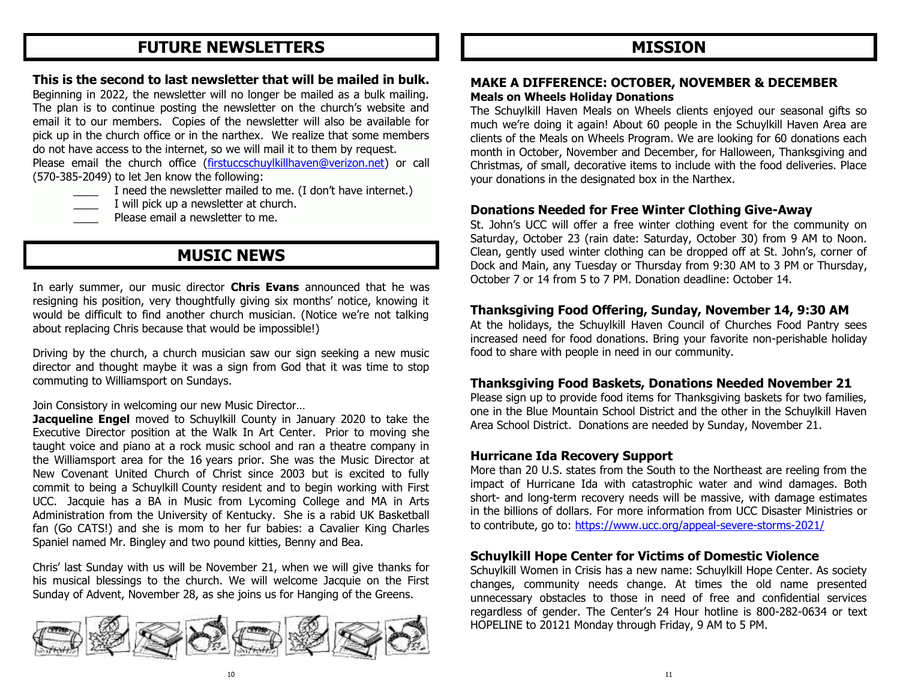## **FUTURE NEWSLETTERS**

#### **This is the second to last newsletter that will be mailed in bulk.**

Beginning in 2022, the newsletter will no longer be mailed as a bulk mailing. The plan is to continue posting the newsletter on the church's website and email it to our members. Copies of the newsletter will also be available for pick up in the church office or in the narthex. We realize that some members do not have access to the internet, so we will mail it to them by request.

Please email the church office [\(firstuccschuylkillhaven@verizon.net\)](mailto:firstuccschuylkillhaven@verizon.net) or call (570-385-2049) to let Jen know the following:

- I need the newsletter mailed to me. (I don't have internet.)
- I will pick up a newsletter at church.
- Please email a newsletter to me.

## **MUSIC NEWS**

In early summer, our music director **Chris Evans** announced that he was resigning his position, very thoughtfully giving six months' notice, knowing it would be difficult to find another church musician. (Notice we're not talking about replacing Chris because that would be impossible!)

Driving by the church, a church musician saw our sign seeking a new music director and thought maybe it was a sign from God that it was time to stop commuting to Williamsport on Sundays.

Join Consistory in welcoming our new Music Director…

**Jacqueline Engel** moved to Schuylkill County in January 2020 to take the Executive Director position at the Walk In Art Center. Prior to moving she taught voice and piano at a rock music school and ran a theatre company in the Williamsport area for the 16 years prior. She was the Music Director at New Covenant United Church of Christ since 2003 but is excited to fully commit to being a Schuylkill County resident and to begin working with First UCC. Jacquie has a BA in Music from Lycoming College and MA in Arts Administration from the University of Kentucky. She is a rabid UK Basketball fan (Go CATS!) and she is mom to her fur babies: a Cavalier King Charles Spaniel named Mr. Bingley and two pound kitties, Benny and Bea.

Chris' last Sunday with us will be November 21, when we will give thanks for his musical blessings to the church. We will welcome Jacquie on the First Sunday of Advent, November 28, as she joins us for Hanging of the Greens.



## **MISSION**

#### **MAKE A DIFFERENCE: OCTOBER, NOVEMBER & DECEMBER Meals on Wheels Holiday Donations**

The Schuylkill Haven Meals on Wheels clients enjoyed our seasonal gifts so much we're doing it again! About 60 people in the Schuylkill Haven Area are clients of the Meals on Wheels Program. We are looking for 60 donations each month in October, November and December, for Halloween, Thanksgiving and Christmas, of small, decorative items to include with the food deliveries. Place your donations in the designated box in the Narthex.

### **Donations Needed for Free Winter Clothing Give-Away**

St. John's UCC will offer a free winter clothing event for the community on Saturday, October 23 (rain date: Saturday, October 30) from 9 AM to Noon. Clean, gently used winter clothing can be dropped off at St. John's, corner of Dock and Main, any Tuesday or Thursday from 9:30 AM to 3 PM or Thursday, October 7 or 14 from 5 to 7 PM. Donation deadline: October 14.

### **Thanksgiving Food Offering, Sunday, November 14, 9:30 AM**

At the holidays, the Schuylkill Haven Council of Churches Food Pantry sees increased need for food donations. Bring your favorite non-perishable holiday food to share with people in need in our community.

#### **Thanksgiving Food Baskets, Donations Needed November 21**

Please sign up to provide food items for Thanksgiving baskets for two families, one in the Blue Mountain School District and the other in the Schuylkill Haven Area School District. Donations are needed by Sunday, November 21.

### **Hurricane Ida Recovery Support**

More than 20 U.S. states from the South to the Northeast are reeling from the impact of Hurricane Ida with catastrophic water and wind damages. Both short- and long-term recovery needs will be massive, with damage estimates in the billions of dollars. For more information from UCC Disaster Ministries or to contribute, go to:<https://www.ucc.org/appeal-severe-storms-2021/>

### **Schuylkill Hope Center for Victims of Domestic Violence**

Schuylkill Women in Crisis has a new name: Schuylkill Hope Center. As society changes, community needs change. At times the old name presented unnecessary obstacles to those in need of free and confidential services regardless of gender. The Center's 24 Hour hotline is 800-282-0634 or text HOPELINE to 20121 Monday through Friday, 9 AM to 5 PM.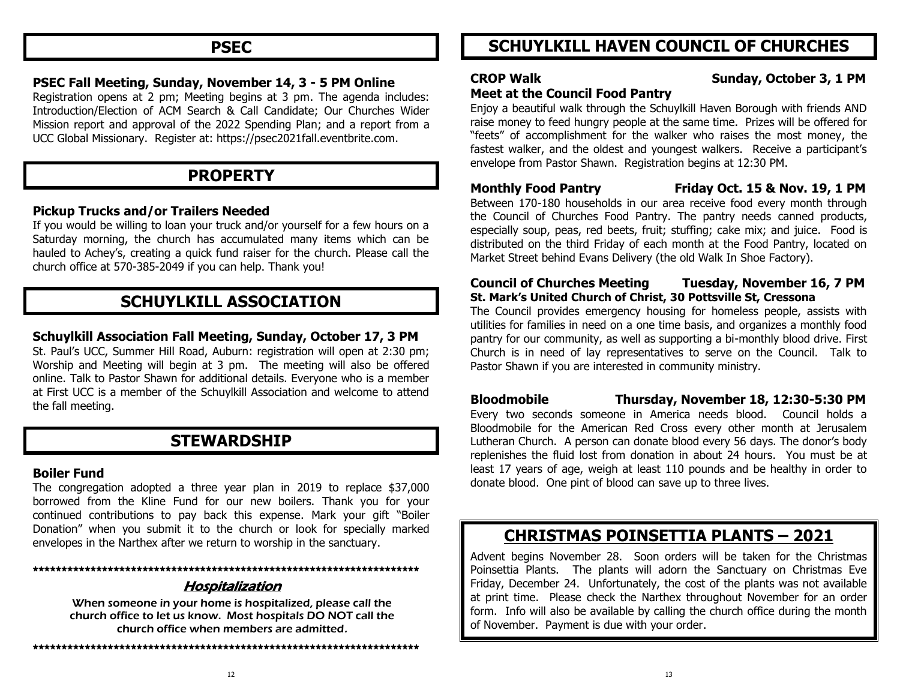## **PSEC**

#### **PSEC Fall Meeting, Sunday, November 14, 3 - 5 PM Online**

Registration opens at 2 pm; Meeting begins at 3 pm. The agenda includes: Introduction/Election of ACM Search & Call Candidate; Our Churches Wider Mission report and approval of the 2022 Spending Plan; and a report from a UCC Global Missionary. Register at: https://psec2021fall.eventbrite.com.

## **PROPERTY**

#### **Pickup Trucks and/or Trailers Needed**

If you would be willing to loan your truck and/or yourself for a few hours on a Saturday morning, the church has accumulated many items which can be hauled to Achey's, creating a quick fund raiser for the church. Please call the church office at 570-385-2049 if you can help. Thank you!

## **SCHUYLKILL ASSOCIATION**

#### **Schuylkill Association Fall Meeting, Sunday, October 17, 3 PM**

St. Paul's UCC, Summer Hill Road, Auburn: registration will open at 2:30 pm; Worship and Meeting will begin at 3 pm. The meeting will also be offered online. Talk to Pastor Shawn for additional details. Everyone who is a member at First UCC is a member of the Schuylkill Association and welcome to attend the fall meeting.

#### **STEWARDSHIP**

#### **Boiler Fund**

The congregation adopted a three year plan in 2019 to replace \$37,000 borrowed from the Kline Fund for our new boilers. Thank you for your continued contributions to pay back this expense. Mark your gift "Boiler Donation" when you submit it to the church or look for specially marked envelopes in the Narthex after we return to worship in the sanctuary.

#### **\*\*\*\*\*\*\*\*\*\*\*\*\*\*\*\*\*\*\*\*\*\*\*\*\*\*\*\*\*\*\*\*\*\*\*\*\*\*\*\*\*\*\*\*\*\*\*\*\*\*\*\*\*\*\*\*\*\*\*\*\*\*\*\*\*\*\***

#### Hospitalization

When someone in your home is hospitalized, please call the church office to let us know. Most hospitals DO NOT call the church office when members are admitted.

## **SCHUYLKILL HAVEN COUNCIL OF CHURCHES**

#### **CROP Walk Sunday, October 3, 1 PM**

#### **Meet at the Council Food Pantry**

Enjoy a beautiful walk through the Schuylkill Haven Borough with friends AND raise money to feed hungry people at the same time. Prizes will be offered for "feets" of accomplishment for the walker who raises the most money, the fastest walker, and the oldest and youngest walkers. Receive a participant's envelope from Pastor Shawn. Registration begins at 12:30 PM.

**Monthly Food Pantry Friday Oct. 15 & Nov. 19, 1 PM**

Between 170-180 households in our area receive food every month through the Council of Churches Food Pantry. The pantry needs canned products, especially soup, peas, red beets, fruit; stuffing; cake mix; and juice. Food is distributed on the third Friday of each month at the Food Pantry, located on Market Street behind Evans Delivery (the old Walk In Shoe Factory).

#### **Council of Churches Meeting Tuesday, November 16, 7 PM St. Mark's United Church of Christ, 30 Pottsville St, Cressona**

The Council provides emergency housing for homeless people, assists with utilities for families in need on a one time basis, and organizes a monthly food pantry for our community, as well as supporting a bi-monthly blood drive. First Church is in need of lay representatives to serve on the Council. Talk to Pastor Shawn if you are interested in community ministry.

**Bloodmobile Thursday, November 18, 12:30-5:30 PM**

Every two seconds someone in America needs blood. Council holds a Bloodmobile for the American Red Cross every other month at Jerusalem Lutheran Church. A person can donate blood every 56 days. The donor's body replenishes the fluid lost from donation in about 24 hours. You must be at least 17 years of age, weigh at least 110 pounds and be healthy in order to donate blood. One pint of blood can save up to three lives.

## **CHRISTMAS POINSETTIA PLANTS – 2021**

Advent begins November 28. Soon orders will be taken for the Christmas Poinsettia Plants. The plants will adorn the Sanctuary on Christmas Eve Friday, December 24. Unfortunately, the cost of the plants was not available at print time. Please check the Narthex throughout November for an order form. Info will also be available by calling the church office during the month of November. Payment is due with your order.

**\*\*\*\*\*\*\*\*\*\*\*\*\*\*\*\*\*\*\*\*\*\*\*\*\*\*\*\*\*\*\*\*\*\*\*\*\*\*\*\*\*\*\*\*\*\*\*\*\*\*\*\*\*\*\*\*\*\*\*\*\*\*\*\*\*\*\***